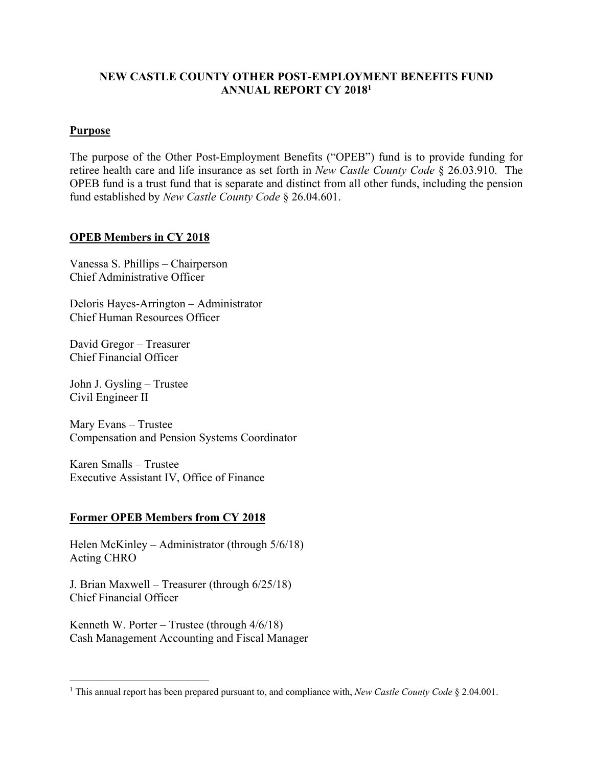#### **NEW CASTLE COUNTY OTHER POST-EMPLOYMENT BENEFITS FUND ANNUAL REPORT CY 20181**

#### **Purpose**

The purpose of the Other Post-Employment Benefits ("OPEB") fund is to provide funding for retiree health care and life insurance as set forth in *New Castle County Code* § 26.03.910. The OPEB fund is a trust fund that is separate and distinct from all other funds, including the pension fund established by *New Castle County Code* § 26.04.601.

#### **OPEB Members in CY 2018**

Vanessa S. Phillips – Chairperson Chief Administrative Officer

Deloris Hayes-Arrington – Administrator Chief Human Resources Officer

David Gregor – Treasurer Chief Financial Officer

John J. Gysling – Trustee Civil Engineer II

Mary Evans – Trustee Compensation and Pension Systems Coordinator

Karen Smalls – Trustee Executive Assistant IV, Office of Finance

#### **Former OPEB Members from CY 2018**

Helen McKinley – Administrator (through 5/6/18) Acting CHRO

J. Brian Maxwell – Treasurer (through 6/25/18) Chief Financial Officer

Kenneth W. Porter – Trustee (through  $4/6/18$ ) Cash Management Accounting and Fiscal Manager

 $\overline{a}$ 1 This annual report has been prepared pursuant to, and compliance with, *New Castle County Code* § 2.04.001.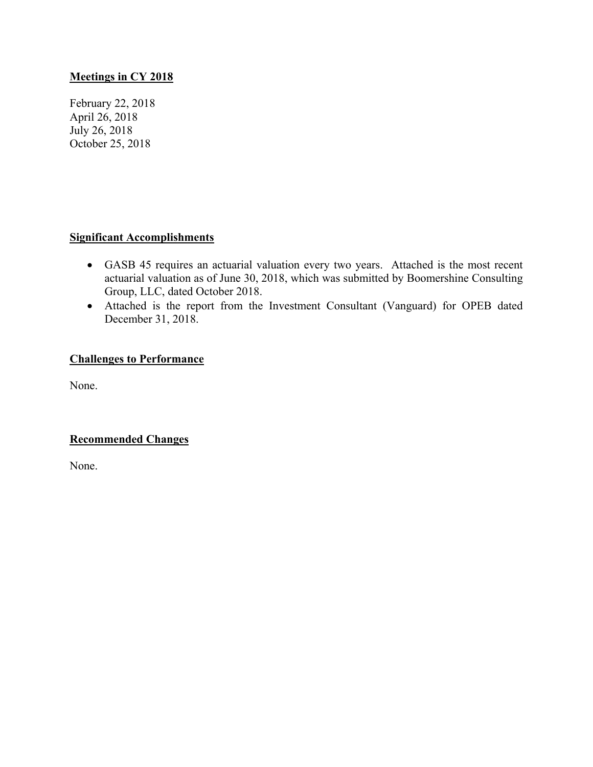#### **Meetings in CY 2018**

February 22, 2018 April 26, 2018 July 26, 2018 October 25, 2018

#### **Significant Accomplishments**

- GASB 45 requires an actuarial valuation every two years. Attached is the most recent actuarial valuation as of June 30, 2018, which was submitted by Boomershine Consulting Group, LLC, dated October 2018.
- Attached is the report from the Investment Consultant (Vanguard) for OPEB dated December 31, 2018.

#### **Challenges to Performance**

None.

#### **Recommended Changes**

None.